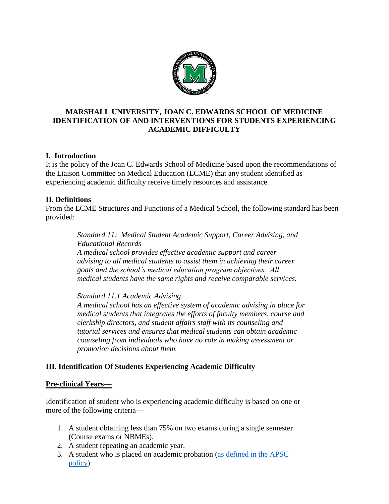

## **MARSHALL UNIVERSITY, JOAN C. EDWARDS SCHOOL OF MEDICINE IDENTIFICATION OF AND INTERVENTIONS FOR STUDENTS EXPERIENCING ACADEMIC DIFFICULTY**

### **I. Introduction**

It is the policy of the Joan C. Edwards School of Medicine based upon the recommendations of the Liaison Committee on Medical Education (LCME) that any student identified as experiencing academic difficulty receive timely resources and assistance.

#### **II. Definitions**

From the LCME Structures and Functions of a Medical School, the following standard has been provided:

> *Standard 11: Medical Student Academic Support, Career Advising, and Educational Records A medical school provides effective academic support and career advising to all medical students to assist them in achieving their career goals and the school's medical education program objectives. All medical students have the same rights and receive comparable services.*

*Standard 11.1 Academic Advising*

*A medical school has an effective system of academic advising in place for medical students that integrates the efforts of faculty members, course and clerkship directors, and student affairs staff with its counseling and tutorial services and ensures that medical students can obtain academic counseling from individuals who have no role in making assessment or promotion decisions about them.*

### **III. Identification Of Students Experiencing Academic Difficulty**

#### **Pre-clinical Years—**

Identification of student who is experiencing academic difficulty is based on one or more of the following criteria—

- 1. A student obtaining less than 75% on two exams during a single semester (Course exams or NBMEs).
- 2. A student repeating an academic year.
- 3. A student who is placed on academic probation [\(as defined in the APSC](https://jcesom.marshall.edu/media/21843/ASC-FINAL-POLICY.pdf)  [policy\)](https://jcesom.marshall.edu/media/21843/ASC-FINAL-POLICY.pdf).